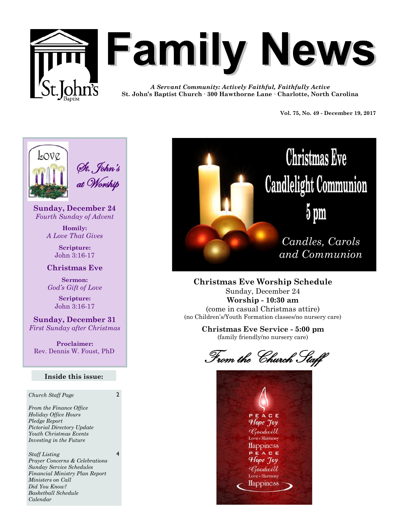

# **Family News**

*A Servant Community: Actively Faithful, Faithfully Active* **St. John's Baptist Church · 300 Hawthorne Lane · Charlotte, North Carolina**

**Vol. 75, No. 49 - December 19, 2017** 



**Sunday, December 24** *Fourth Sunday of Advent*

> **Homily:** *A Love That Gives*

> > **Scripture:** John 3:16-17

**Christmas Eve**

**Sermon:** *God's Gift of Love*

> **Scripture:**  John 3:16-17

**Sunday, December 31** *First Sunday after Christmas*

**Proclaimer:** Rev. Dennis W. Foust, PhD

#### **Inside this issue:**

*Church Staff Page* 2

4

*From the Finance Office Holiday Office Hours Pledge Report Pictorial Directory Update Youth Christmas Events Investing in the Future* 

*Staff Listing Prayer Concerns & Celebrations Sunday Service Schedules Financial Ministry Plan Report Ministers on Call Did You Know? Basketball Schedule Calendar*



# **Christmas Eve Candlelight Communion**  $5 \text{ pm}$

*Candles, Carols and Communion*

**Christmas Eve Worship Schedule** Sunday, December 24 **Worship - 10:30 am**  (come in casual Christmas attire) (no Children's/Youth Formation classes/no nursery care)

> **Christmas Eve Service - 5:00 pm** (family friendly/no nursery care)

From the Church Staff

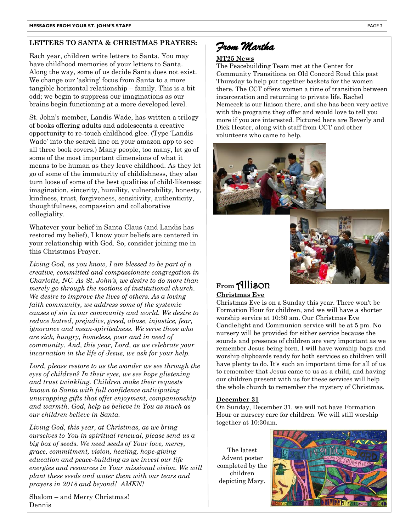#### **LETTERS TO SANTA & CHRISTMAS PRAYERS:**

Each year, children write letters to Santa. You may have childhood memories of your letters to Santa. Along the way, some of us decide Santa does not exist. We change our 'asking' focus from Santa to a more tangible horizontal relationship – family. This is a bit odd; we begin to suppress our imaginations as our brains begin functioning at a more developed level.

St. John's member, Landis Wade, has written a trilogy of books offering adults and adolescents a creative opportunity to re-touch childhood glee. (Type 'Landis Wade' into the search line on your amazon app to see all three book covers.) Many people, too many, let go of some of the most important dimensions of what it means to be human as they leave childhood. As they let go of some of the immaturity of childishness, they also turn loose of some of the best qualities of child-likeness: imagination, sincerity, humility, vulnerability, honesty, kindness, trust, forgiveness, sensitivity, authenticity, thoughtfulness, compassion and collaborative collegiality.

Whatever your belief in Santa Claus (and Landis has restored my belief), I know your beliefs are centered in your relationship with God. So, consider joining me in this Christmas Prayer.

*Living God, as you know, I am blessed to be part of a creative, committed and compassionate congregation in Charlotte, NC. As St. John's, we desire to do more than merely go through the motions of institutional church. We desire to improve the lives of others. As a loving faith community, we address some of the systemic causes of sin in our community and world. We desire to reduce hatred, prejudice, greed, abuse, injustice, fear, ignorance and mean-spiritedness. We serve those who are sick, hungry, homeless, poor and in need of community. And, this year, Lord, as we celebrate your incarnation in the life of Jesus, we ask for your help.*

*Lord, please restore to us the wonder we see through the eyes of children? In their eyes, we see hope glistening and trust twinkling. Children make their requests known to Santa with full confidence anticipating unwrapping gifts that offer enjoyment, companionship and warmth. God, help us believe in You as much as our children believe in Santa.* 

*Living God, this year, at Christmas, as we bring ourselves to You in spiritual renewal, please send us a big box of seeds. We need seeds of Your love, mercy, grace, commitment, vision, healing, hope-giving education and peace-building as we invest our life energies and resources in Your missional vision. We will plant these seeds and water them with our tears and prayers in 2018 and beyond! AMEN!*

Shalom – and Merry Christmas! Dennis

## *From Martha*

#### **MT25 News**

The Peacebuilding Team met at the Center for Community Transitions on Old Concord Road this past Thursday to help put together baskets for the women there. The CCT offers women a time of transition between incarceration and returning to private life. Rachel Nemecek is our liaison there, and she has been very active with the programs they offer and would love to tell you more if you are interested. Pictured here are Beverly and Dick Hester, along with staff from CCT and other volunteers who came to help.





#### **From** Allison **Christmas Eve**

Christmas Eve is on a Sunday this year. There won't be Formation Hour for children, and we will have a shorter worship service at 10:30 am. Our Christmas Eve Candlelight and Communion service will be at 5 pm. No nursery will be provided for either service because the sounds and presence of children are very important as we remember Jesus being born. I will have worship bags and worship clipboards ready for both services so children will have plenty to do. It's such an important time for all of us to remember that Jesus came to us as a child, and having our children present with us for these services will help the whole church to remember the mystery of Christmas.

#### **December 31**

On Sunday, December 31, we will not have Formation Hour or nursery care for children. We will still worship together at 10:30am.

The latest Advent poster completed by the children depicting Mary.

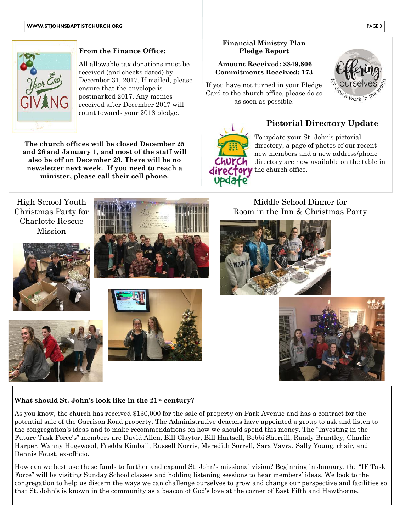

#### **From the Finance Office:**

All allowable tax donations must be received (and checks dated) by December 31, 2017. If mailed, please ensure that the envelope is postmarked 2017. Any monies received after December 2017 will count towards your 2018 pledge.

**The church offices will be closed December 25 and 26 and January 1, and most of the staff will also be off on December 29. There will be no newsletter next week. If you need to reach a minister, please call their cell phone.**

#### **Financial Ministry Plan Pledge Report**

#### **Amount Received: \$849,806 Commitments Received: 173**

If you have not turned in your Pledge Card to the church office, please do so as soon as possible.



## 7 **Pictorial Directory Update**



To update your St. John's pictorial directory, a page of photos of our recent new members and a new address/phone directory are now available on the table in directory the church office.



#### **What should St. John's look like in the 21st century?**

As you know, the church has received \$130,000 for the sale of property on Park Avenue and has a contract for the potential sale of the Garrison Road property. The Administrative deacons have appointed a group to ask and listen to the congregation's ideas and to make recommendations on how we should spend this money. The "Investing in the Future Task Force's" members are David Allen, Bill Claytor, Bill Hartsell, Bobbi Sherrill, Randy Brantley, Charlie Harper, Wanny Hogewood, Fredda Kimball, Russell Norris, Meredith Sorrell, Sara Vavra, Sally Young, chair, and Dennis Foust, ex-officio.

How can we best use these funds to further and expand St. John's missional vision? Beginning in January, the "IF Task Force" will be visiting Sunday School classes and holding listening sessions to hear members' ideas. We look to the congregation to help us discern the ways we can challenge ourselves to grow and change our perspective and facilities so that St. John's is known in the community as a beacon of God's love at the corner of East Fifth and Hawthorne.